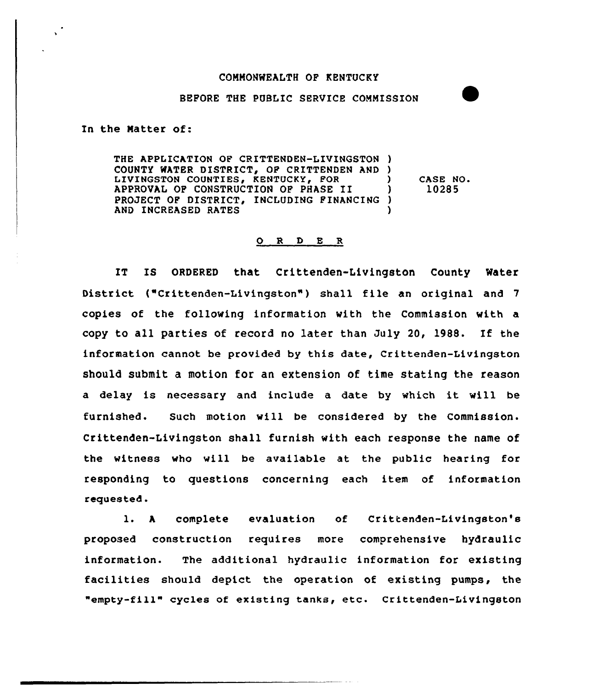## COMMONWEALTH OF KENTUCKY

## BEFORE THE PUBLIC SERVICE COMMISSION

In the Natter of:

THE APPLICATION OF CRITTENDEN-LIVINGSTON ) COUNTY WATER DISTRICT, OF CRITTENDEN AND ) LIVINGSTON COUNTIES, KENTUCKY, FOR APPROVAL OF CONSTRUCTION OF PHASE II ) PROJECT OF DISTRICT, INCLUDING FINANCING ) AND INCREASED RATES CASE NO 10285

## 0 <sup>R</sup> <sup>D</sup> E R

IT IS ORDERED that Crittenden-Livingston County Water District ("Crittenden-Livingston") shall file an original and 7 copies of the following information with the Commission with a copy to all parties of record no later than July 20, 1988. If the information cannot be provided by this date, Crittenden-Livingston should submit a motion for an extension of time stating the reason a delay is necessary and include a date by which it will be furnished. Such motion will be considered by the Commission. Crittenden-Livingston shall furnish with each response the name of the witness who will be available at the public hearing for responding to questions concerning each item of information requested.

l. <sup>A</sup> complete evaluation of Crittenden-Livingston's proposed construction requires more comprehensive hydraulic information. The additional hydraulic information for existing facilities should depict the operation of existing pumps, the "empty-fill" cycles of existing tanks, etc. Crittenden-Livingston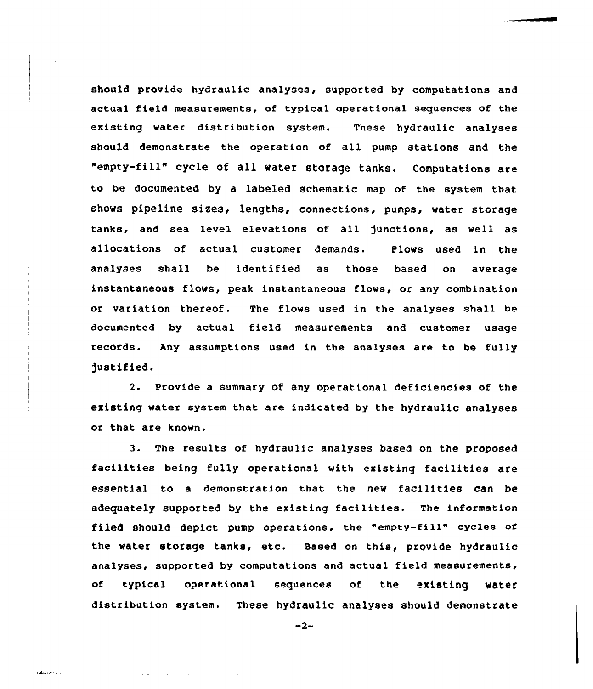should provide hydraulic analyses, supported by computations and actual field measurements, of typical operational sequences of the existing water distribution system. Tnese hydraulic analyses should demonstrate the operation of all pump stations and the "empty-fill" cycle of all water storage tanks. Computations are to be documented by a labeled schematic map of the system that shows pipeline sices, lengths, connections, pumps, water storage tanks, and sea level elevations of all functions, as well as allocations of actual customer demands. Plows used in the analyses shall be identified as those based on average instantaneous flows, peak instantaneous flows, or any combination or variation thereof. The flows used in the analyses shall be documented by actual field measurements and customer usage records. Any assumptions used in the analyses are to be fully )ustified.

2. Provide a summary of any operational deficiencies of the existing water system that are indicated by the hydraulic analyses or that are known.

3. The results of hydraulic analyses based on the proposed facilities being fully operational with existing facilities are essential to <sup>a</sup> demonstration that the new facilities can be adequately supported by the existing facilities. The information filed should depict pump operations, the "empty-fill" cycles of the water storage tanks, etc. Based on this, provide hydraulic analyses, supported by computations and actual field measurements, of typical operational sequences of the existing water distribution system. These hydraulic analyses should demonstrate

 $-2-$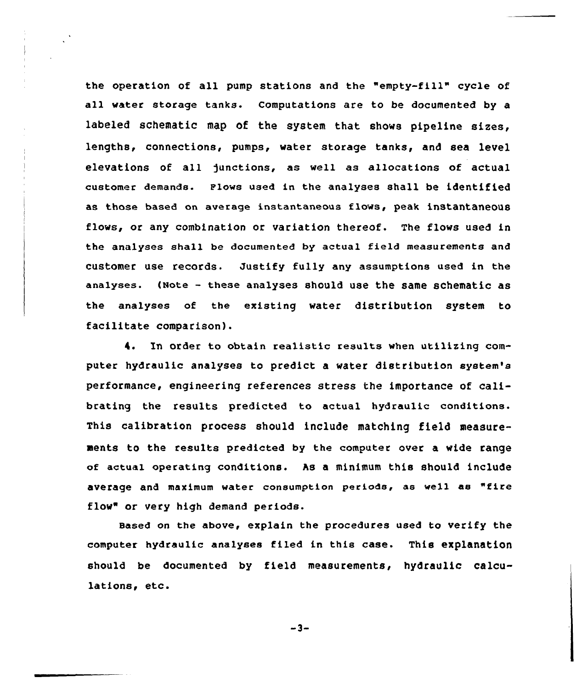the operation of all pump stations and the "empty-fill" cycle of all water storage tanks. Computations are to be documented by a labeled schematic map of the system that shows pipeline sizes, lengths, connections, pumps, water storage tanks, and sea level elevations of all junctions, as well as allocations of actual customer demands. Plows used in the analyses shall be identified as those based on average instantaneous flows, peak instantaneous flows, or any combination or variation thereof. The flows used in the analyses shall be documented by actual field measurements and customer use records. Justify fully any assumptions used in the analyses. (Note — these analyses should use the same schematic as the analyses of the existing water distribution system to facilitate comparison).

4. ln order to obtain realistic results when utilizing computer hydraulic analyses to predict a water distribution system's performance, engineering references stress the importance of calibrating the results predicted to actual hydraulic conditions. This calibration process should include matching field measurements to the results predicted by the computer over a wide range of actual operating conditions. hs a minimum this should include average and maximum water consumption periods, as well as "fire flow" or very high demand periods.

Based on the above, explain the procedures used to verify the computer hydraulic analyses filed in this case. This explanation should be documented by field measurements, hydraulic calculations, etc.

 $-3-$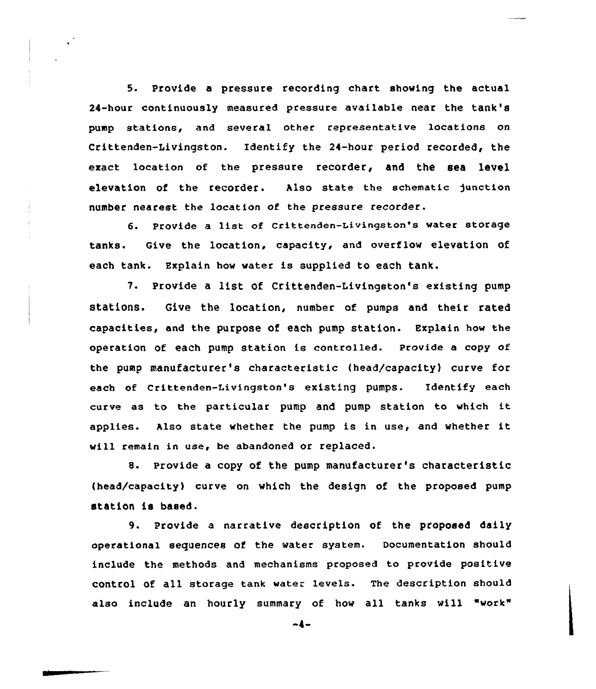5. Provide a pressure recording chart showing the actual 24-hour continuously measured pressure available near the tank's pump stations, and several other representative locations on Crittenden-Livingston. Identify the 24-hour period recorded, the exact location of the pressure recorder, and the sea level elevation of the recorder. Also state the schematic junction number nearest the location of the pressure recorder.

6. Provide a list of Crittenden-Livingston's water storage tanks. Give the location, capacity, and overflow elevation of each tank. Explain hov water is supplied to each tank.

7. Provide a list Of Crittenden-Livingston's existing pump statlon8. Give the location, number of pumps and their rated capacities, and the purpose of each pump station. Explain how the operation of each pump station is controlled. Provide a copy of the pump manufacturer's characteristic (head/capacity) curve for each of Crittenden-Livingston's existing pumps. Identify each curve as to the particular pump and pump station to which it applies. Also state whether the pump is in use, and whether it vill remain in use, be abandoned or replaced.

8. Provide a copy of the pump manufacturer's characteristic (head/capacity) curve on which the design of the proposed pump station is based.

9. provide a narrative description of the proposed daily operational sequences of the water system. Documentation should include the methods and mechanisms proposed to provide positive control of all storage tank water levels. The description should also include an hourly summary of how all tanks will "work"

-4-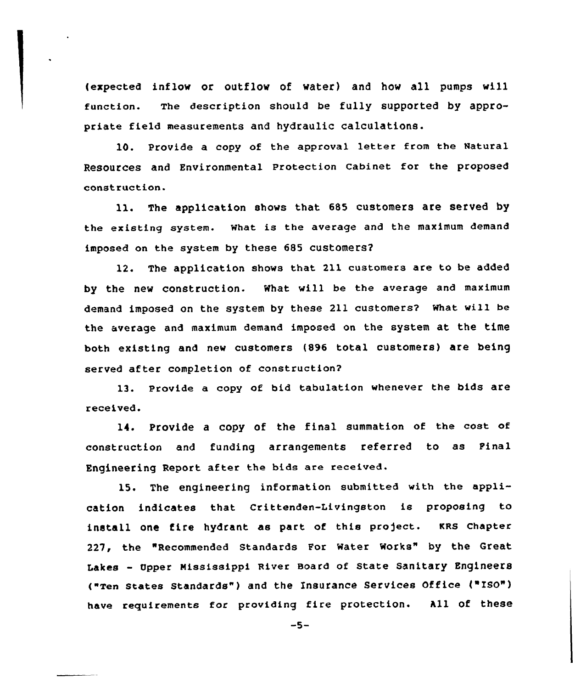{expected inflow or outflow of water) and how all pumps will function. The description should be fully supported by appropriate field measurements and hydraulic calculations.

10. Provide a copy of the approval letter from the Natural Resources and Environmental Protection Cabinet for the proposed construction.

ll. The application shows that <sup>685</sup> customers are served by the existing system. What is the average and the maximum demand imposed on the system by these 685 customers2

12. The application shows that 211 customers are to be added by the new construction. What will be the average and maximum demand imposed on the system by these 211 customers? What wi11 be the average and maximum demand imposed on the system at the time both existing and new customers (896 total customers) are being served after completion of construction2

13. Provide a copy of bid tabulation whenever the bids are received.

14. Provide <sup>a</sup> copy of the final summation of the cost of construction and funding arrangements referred to as Pinal Engineering Report after the bids are received.

15. The engineering information submitted with the application indicates that Crittenden-Livingston is proposing to install one fire hydrant as part of this project. KRS Chapter 227, the "Recommended Standards For Water Works" by the Great Lakes - Upper Mississippi River Board of State Sanitary Engineers ("zen states standards" ) and the Insurance services office ("zso") have requirements for providing fire protection. All of these

 $-5-$